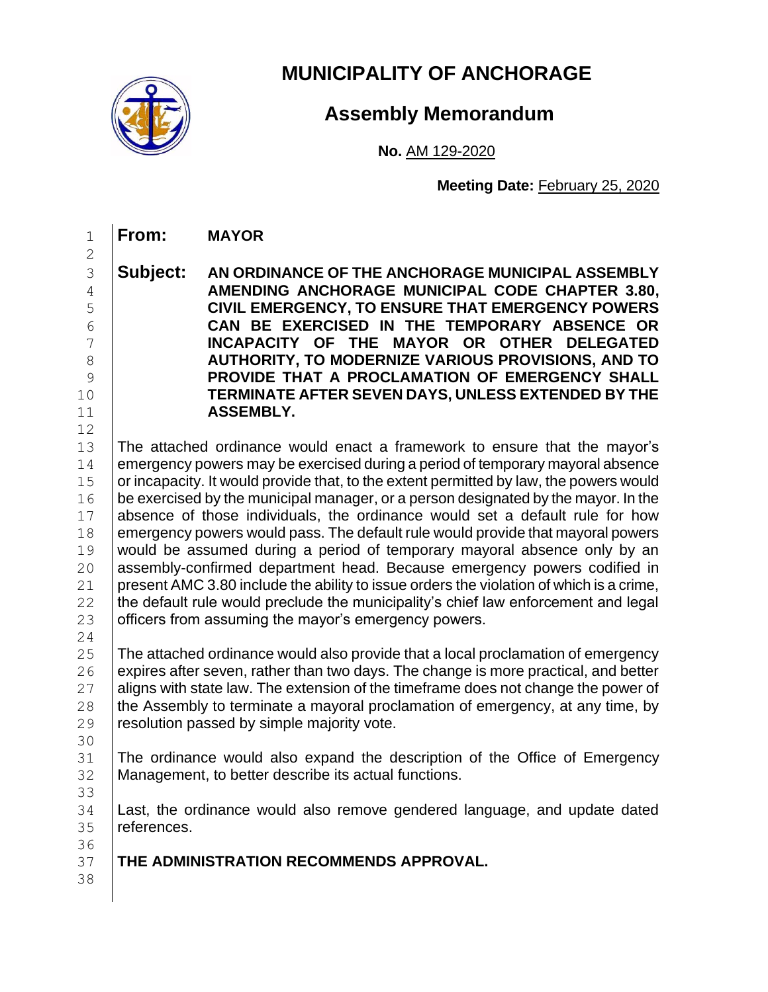

**From: MAYOR**

## **MUNICIPALITY OF ANCHORAGE**

## **Assembly Memorandum**

**No.** AM 129-2020

**Meeting Date:** February 25, 2020

 **Subject: AN ORDINANCE OF THE ANCHORAGE MUNICIPAL ASSEMBLY AMENDING ANCHORAGE MUNICIPAL CODE CHAPTER 3.80, CIVIL EMERGENCY, TO ENSURE THAT EMERGENCY POWERS CAN BE EXERCISED IN THE TEMPORARY ABSENCE OR INCAPACITY OF THE MAYOR OR OTHER DELEGATED AUTHORITY, TO MODERNIZE VARIOUS PROVISIONS, AND TO PROVIDE THAT A PROCLAMATION OF EMERGENCY SHALL TERMINATE AFTER SEVEN DAYS, UNLESS EXTENDED BY THE ASSEMBLY.**

 The attached ordinance would enact a framework to ensure that the mayor's emergency powers may be exercised during a period of temporary mayoral absence 15 or incapacity. It would provide that, to the extent permitted by law, the powers would be exercised by the municipal manager, or a person designated by the mayor. In the absence of those individuals, the ordinance would set a default rule for how emergency powers would pass. The default rule would provide that mayoral powers 19 would be assumed during a period of temporary mayoral absence only by an 20 assembly-confirmed department head. Because emergency powers codified in 21 present AMC 3.80 include the ability to issue orders the violation of which is a crime, the default rule would preclude the municipality's chief law enforcement and legal **officers from assuming the mayor's emergency powers.** 

 The attached ordinance would also provide that a local proclamation of emergency expires after seven, rather than two days. The change is more practical, and better aligns with state law. The extension of the timeframe does not change the power of 28 the Assembly to terminate a mayoral proclamation of emergency, at any time, by resolution passed by simple majority vote.

31 The ordinance would also expand the description of the Office of Emergency Management, to better describe its actual functions. 

 Last, the ordinance would also remove gendered language, and update dated references.

 **THE ADMINISTRATION RECOMMENDS APPROVAL.**